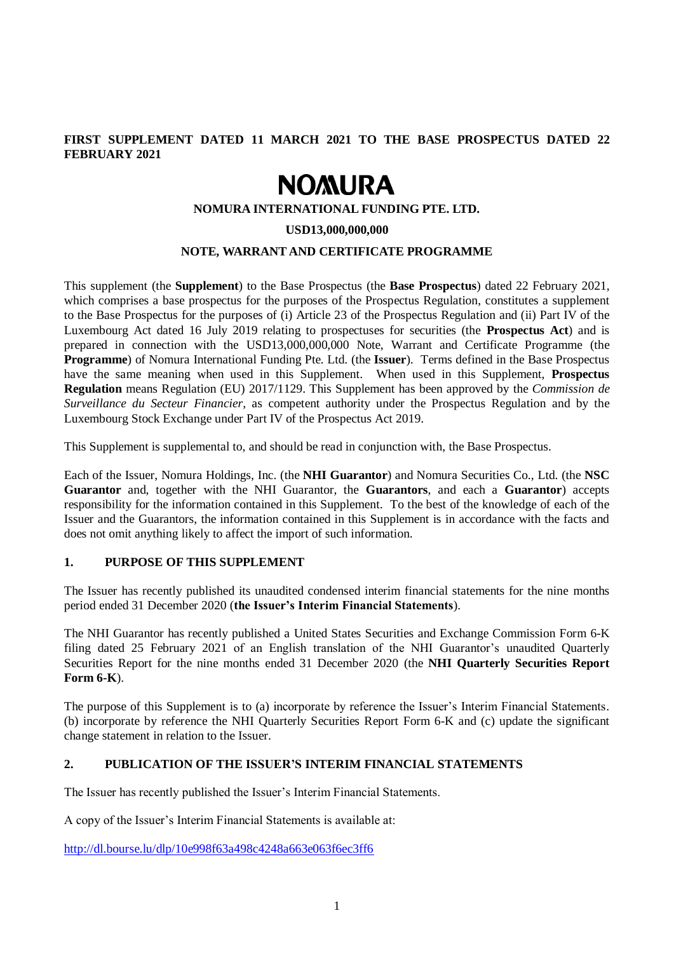# **FIRST SUPPLEMENT DATED 11 MARCH 2021 TO THE BASE PROSPECTUS DATED 22 FEBRUARY 2021**

# **NOMURA**

## **NOMURA INTERNATIONAL FUNDING PTE. LTD.**

#### **USD13,000,000,000**

## **NOTE, WARRANT AND CERTIFICATE PROGRAMME**

This supplement (the **Supplement**) to the Base Prospectus (the **Base Prospectus**) dated 22 February 2021, which comprises a base prospectus for the purposes of the Prospectus Regulation, constitutes a supplement to the Base Prospectus for the purposes of (i) Article 23 of the Prospectus Regulation and (ii) Part IV of the Luxembourg Act dated 16 July 2019 relating to prospectuses for securities (the **Prospectus Act**) and is prepared in connection with the USD13,000,000,000 Note, Warrant and Certificate Programme (the **Programme**) of Nomura International Funding Pte. Ltd. (the **Issuer**). Terms defined in the Base Prospectus have the same meaning when used in this Supplement. When used in this Supplement, **Prospectus Regulation** means Regulation (EU) 2017/1129. This Supplement has been approved by the *Commission de Surveillance du Secteur Financier*, as competent authority under the Prospectus Regulation and by the Luxembourg Stock Exchange under Part IV of the Prospectus Act 2019.

This Supplement is supplemental to, and should be read in conjunction with, the Base Prospectus.

Each of the Issuer, Nomura Holdings, Inc. (the **NHI Guarantor**) and Nomura Securities Co., Ltd. (the **NSC Guarantor** and, together with the NHI Guarantor, the **Guarantors**, and each a **Guarantor**) accepts responsibility for the information contained in this Supplement. To the best of the knowledge of each of the Issuer and the Guarantors, the information contained in this Supplement is in accordance with the facts and does not omit anything likely to affect the import of such information.

### **1. PURPOSE OF THIS SUPPLEMENT**

The Issuer has recently published its unaudited condensed interim financial statements for the nine months period ended 31 December 2020 (**the Issuer's Interim Financial Statements**).

The NHI Guarantor has recently published a United States Securities and Exchange Commission Form 6-K filing dated 25 February 2021 of an English translation of the NHI Guarantor's unaudited Quarterly Securities Report for the nine months ended 31 December 2020 (the **NHI Quarterly Securities Report Form 6-K**).

The purpose of this Supplement is to (a) incorporate by reference the Issuer's Interim Financial Statements. (b) incorporate by reference the NHI Quarterly Securities Report Form 6-K and (c) update the significant change statement in relation to the Issuer.

#### **2. PUBLICATION OF THE ISSUER'S INTERIM FINANCIAL STATEMENTS**

The Issuer has recently published the Issuer's Interim Financial Statements.

A copy of the Issuer's Interim Financial Statements is available at:

<http://dl.bourse.lu/dlp/10e998f63a498c4248a663e063f6ec3ff6>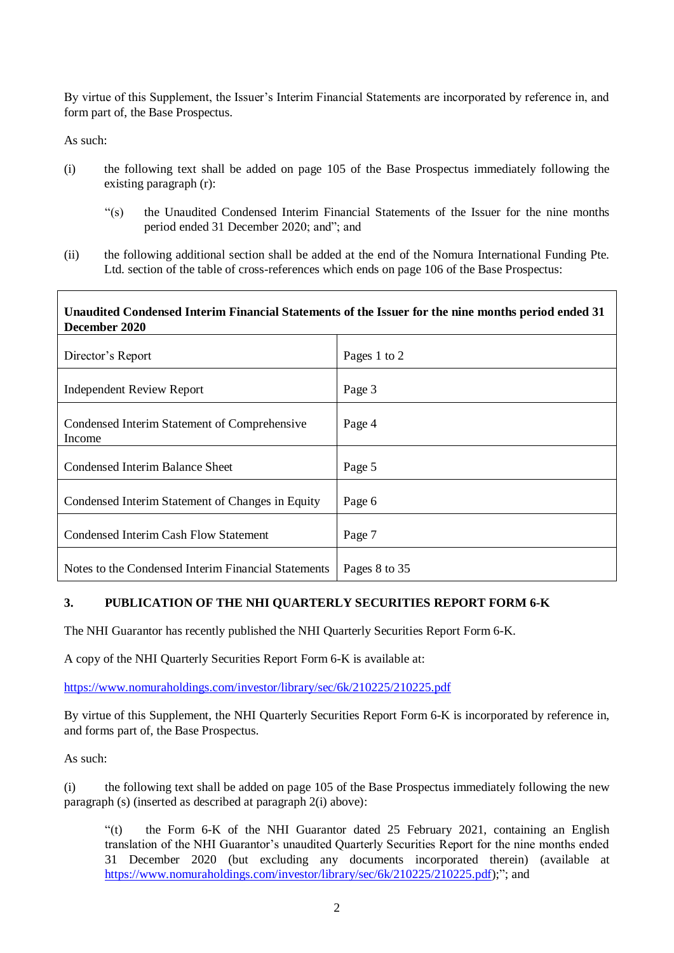By virtue of this Supplement, the Issuer's Interim Financial Statements are incorporated by reference in, and form part of, the Base Prospectus.

As such:

- (i) the following text shall be added on page 105 of the Base Prospectus immediately following the existing paragraph (r):
	- "(s) the Unaudited Condensed Interim Financial Statements of the Issuer for the nine months period ended 31 December 2020; and"; and
- (ii) the following additional section shall be added at the end of the Nomura International Funding Pte. Ltd. section of the table of cross-references which ends on page 106 of the Base Prospectus:

# **Unaudited Condensed Interim Financial Statements of the Issuer for the nine months period ended 31 December 2020**

| Director's Report                                      | Pages 1 to 2  |
|--------------------------------------------------------|---------------|
| <b>Independent Review Report</b>                       | Page 3        |
| Condensed Interim Statement of Comprehensive<br>Income | Page 4        |
| Condensed Interim Balance Sheet                        | Page 5        |
| Condensed Interim Statement of Changes in Equity       | Page 6        |
| <b>Condensed Interim Cash Flow Statement</b>           | Page 7        |
| Notes to the Condensed Interim Financial Statements    | Pages 8 to 35 |

# **3. PUBLICATION OF THE NHI QUARTERLY SECURITIES REPORT FORM 6-K**

The NHI Guarantor has recently published the NHI Quarterly Securities Report Form 6-K.

A copy of the NHI Quarterly Securities Report Form 6-K is available at:

https://www.nomuraholdings.com/investor/library/sec/6k/210225/210225.pdf

By virtue of this Supplement, the NHI Quarterly Securities Report Form 6-K is incorporated by reference in, and forms part of, the Base Prospectus.

As such:

(i) the following text shall be added on page 105 of the Base Prospectus immediately following the new paragraph (s) (inserted as described at paragraph 2(i) above):

"(t) the Form 6-K of the NHI Guarantor dated 25 February 2021, containing an English translation of the NHI Guarantor's unaudited Quarterly Securities Report for the nine months ended 31 December 2020 (but excluding any documents incorporated therein) (available at [https://www.nomuraholdings.com/investor/library/sec/6k/210225/210225.pdf\)](https://www.nomuraholdings.com/investor/library/sec/6k/210225/210225.pdf);"; and